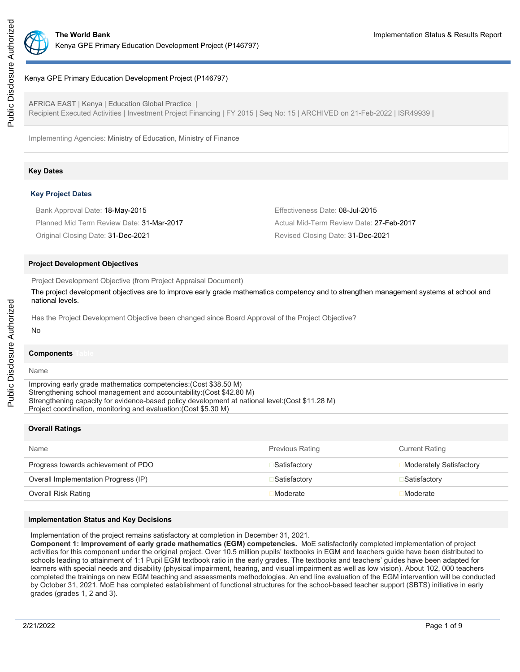

# Kenya GPE Primary Education Development Project (P146797)

AFRICA EAST | Kenya | Education Global Practice | Recipient Executed Activities | Investment Project Financing | FY 2015 | Seq No: 15 | ARCHIVED on 21-Feb-2022 | ISR49939 |

Implementing Agencies: Ministry of Education, Ministry of Finance

### **Key Dates**

### **Key Project Dates**

| Bank Approval Date: 18-May-2015           | Effectiveness Date: 08-Jul-2015          |
|-------------------------------------------|------------------------------------------|
| Planned Mid Term Review Date: 31-Mar-2017 | Actual Mid-Term Review Date: 27-Feb-2017 |
| Original Closing Date: 31-Dec-2021        | Revised Closing Date: 31-Dec-2021        |

#### **Project Development Objectives**

Project Development Objective (from Project Appraisal Document)

The project development objectives are to improve early grade mathematics competency and to strengthen management systems at school and national levels.

Has the Project Development Objective been changed since Board Approval of the Project Objective?

## **Components**

Name

No

Improving early grade mathematics competencies:(Cost \$38.50 M) Strengthening school management and accountability:(Cost \$42.80 M) Strengthening capacity for evidence-based policy development at national level:(Cost \$11.28 M) Project coordination, monitoring and evaluation:(Cost \$5.30 M)

## **Overall Ratings**

| Name                                 | <b>Previous Rating</b> | <b>Current Rating</b>   |
|--------------------------------------|------------------------|-------------------------|
| Progress towards achievement of PDO  | Satisfactory           | Moderately Satisfactory |
| Overall Implementation Progress (IP) | Satisfactory           | Satisfactory            |
| <b>Overall Risk Rating</b>           | Moderate               | Moderate                |
|                                      |                        |                         |

#### **Implementation Status and Key Decisions**

Implementation of the project remains satisfactory at completion in December 31, 2021.

**Component 1: Improvement of early grade mathematics (EGM) competencies.** MoE satisfactorily completed implementation of project activities for this component under the original project. Over 10.5 million pupils' textbooks in EGM and teachers guide have been distributed to schools leading to attainment of 1:1 Pupil EGM textbook ratio in the early grades. The textbooks and teachers' guides have been adapted for learners with special needs and disability (physical impairment, hearing, and visual impairment as well as low vision). About 102, 000 teachers completed the trainings on new EGM teaching and assessments methodologies. An end line evaluation of the EGM intervention will be conducted by October 31, 2021. MoE has completed establishment of functional structures for the school-based teacher support (SBTS) initiative in early grades (grades 1, 2 and 3).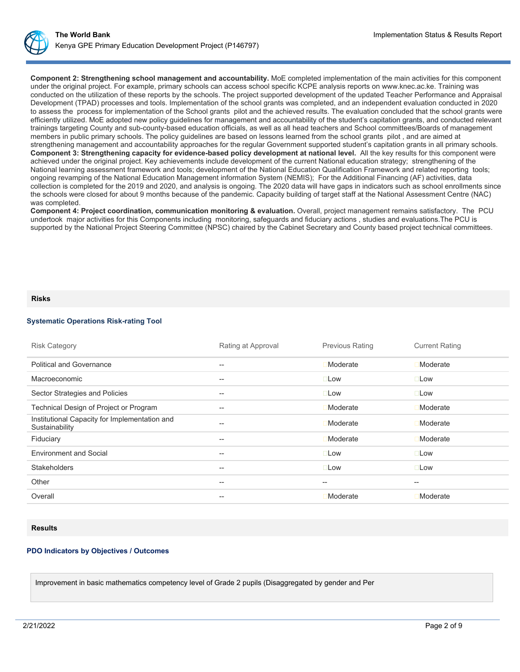**Component 2: Strengthening school management and accountability.** MoE completed implementation of the main activities for this component under the original project. For example, primary schools can access school specific KCPE analysis reports on www.knec.ac.ke. Training was conducted on the utilization of these reports by the schools. The project supported development of the updated Teacher Performance and Appraisal Development (TPAD) processes and tools. Implementation of the school grants was completed, and an independent evaluation conducted in 2020 to assess the process for implementation of the School grants pilot and the achieved results. The evaluation concluded that the school grants were efficiently utilized. MoE adopted new policy guidelines for management and accountability of the student's capitation grants, and conducted relevant trainings targeting County and sub-county-based education officials, as well as all head teachers and School committees/Boards of management members in public primary schools. The policy guidelines are based on lessons learned from the school grants pilot , and are aimed at strengthening management and accountability approaches for the regular Government supported student's capitation grants in all primary schools. **Component 3: Strengthening capacity for evidence-based policy development at national level.** All the key results for this component were achieved under the original project. Key achievements include development of the current National education strategy; strengthening of the National learning assessment framework and tools; development of the National Education Qualification Framework and related reporting tools; ongoing revamping of the National Education Management information System (NEMIS); For the Additional Financing (AF) activities, data collection is completed for the 2019 and 2020, and analysis is ongoing. The 2020 data will have gaps in indicators such as school enrollments since the schools were closed for about 9 months because of the pandemic. Capacity building of target staff at the National Assessment Centre (NAC) was completed.

**Component 4: Project coordination, communication monitoring & evaluation.** Overall, project management remains satisfactory. The PCU undertook major activities for this Components including monitoring, safeguards and fiduciary actions , studies and evaluations.The PCU is supported by the National Project Steering Committee (NPSC) chaired by the Cabinet Secretary and County based project technical committees.

#### **Risks**

#### **Systematic Operations Risk-rating Tool**

| <b>Risk Category</b>                                            | Rating at Approval | <b>Previous Rating</b>                              | <b>Current Rating</b> |
|-----------------------------------------------------------------|--------------------|-----------------------------------------------------|-----------------------|
| <b>Political and Governance</b>                                 | --                 | <b>Moderate</b>                                     | <b>Moderate</b>       |
| Macroeconomic                                                   | $- -$              | $\square$ Low                                       | $\square$ Low         |
| Sector Strategies and Policies                                  | $- -$              | $\square$ Low                                       | $\square$ Low         |
| Technical Design of Project or Program                          | --                 | <b>Moderate</b>                                     | <b>■Moderate</b>      |
| Institutional Capacity for Implementation and<br>Sustainability | $- -$              | <b>Moderate</b>                                     | <b>Moderate</b>       |
| Fiduciary                                                       | $- -$              | <b>Moderate</b>                                     | <b>Moderate</b>       |
| <b>Environment and Social</b>                                   | --                 | $\square$ Low                                       | $\square$ Low         |
| <b>Stakeholders</b>                                             | $- -$              | $\square$ Low                                       | $\square$ Low         |
| Other                                                           | $- -$              | $\hspace{0.05cm} -\hspace{0.05cm} -\hspace{0.05cm}$ | $-$                   |
| Overall                                                         | --                 | <b>Moderate</b>                                     | <b>Moderate</b>       |

#### **Results**

### **PDO Indicators by Objectives / Outcomes**

Improvement in basic mathematics competency level of Grade 2 pupils (Disaggregated by gender and Per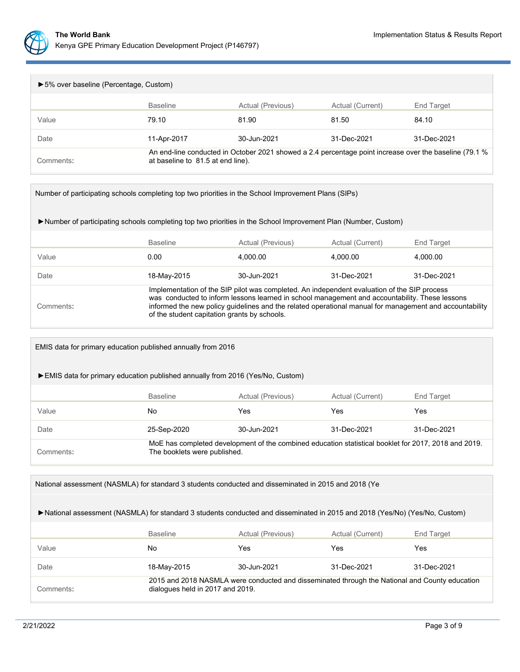

| ► 5% over baseline (Percentage, Custom)                                                                                                                   |                 |                   |                  |             |  |  |
|-----------------------------------------------------------------------------------------------------------------------------------------------------------|-----------------|-------------------|------------------|-------------|--|--|
|                                                                                                                                                           | <b>Baseline</b> | Actual (Previous) | Actual (Current) | End Target  |  |  |
| Value                                                                                                                                                     | 79.10           | 81.90             | 81.50            | 84.10       |  |  |
| Date                                                                                                                                                      | 11-Apr-2017     | 30-Jun-2021       | 31-Dec-2021      | 31-Dec-2021 |  |  |
| An end-line conducted in October 2021 showed a 2.4 percentage point increase over the baseline (79.1 %)<br>at baseline to 81.5 at end line).<br>Comments: |                 |                   |                  |             |  |  |

## Number of participating schools completing top two priorities in the School Improvement Plans (SIPs)

## ►Number of participating schools completing top two priorities in the School Improvement Plan (Number, Custom)

|           | <b>Baseline</b>                                                                                                                                                                                                                                                                                                                                          | Actual (Previous) | Actual (Current) | End Target  |
|-----------|----------------------------------------------------------------------------------------------------------------------------------------------------------------------------------------------------------------------------------------------------------------------------------------------------------------------------------------------------------|-------------------|------------------|-------------|
| Value     | 0.00                                                                                                                                                                                                                                                                                                                                                     | 4.000.00          | 4.000.00         | 4.000.00    |
| Date      | 18-May-2015                                                                                                                                                                                                                                                                                                                                              | 30-Jun-2021       | 31-Dec-2021      | 31-Dec-2021 |
| Comments: | Implementation of the SIP pilot was completed. An independent evaluation of the SIP process<br>was conducted to inform lessons learned in school management and accountability. These lessons<br>informed the new policy quidelines and the related operational manual for management and accountability<br>of the student capitation grants by schools. |                   |                  |             |

EMIS data for primary education published annually from 2016

►EMIS data for primary education published annually from 2016 (Yes/No, Custom)

|           | <b>Baseline</b>              | Actual (Previous)                                                                                    | Actual (Current) | End Target  |
|-----------|------------------------------|------------------------------------------------------------------------------------------------------|------------------|-------------|
| Value     | No                           | Yes                                                                                                  | Yes              | Yes         |
| Date      | 25-Sep-2020                  | 30-Jun-2021                                                                                          | 31-Dec-2021      | 31-Dec-2021 |
| Comments: | The booklets were published. | MoE has completed development of the combined education statistical booklet for 2017, 2018 and 2019. |                  |             |

| National assessment (NASMLA) for standard 3 students conducted and disseminated in 2015 and 2018 (Ye                        |                                  |                                                                                                |                  |             |  |
|-----------------------------------------------------------------------------------------------------------------------------|----------------------------------|------------------------------------------------------------------------------------------------|------------------|-------------|--|
| ▶National assessment (NASMLA) for standard 3 students conducted and disseminated in 2015 and 2018 (Yes/No) (Yes/No, Custom) |                                  |                                                                                                |                  |             |  |
|                                                                                                                             | <b>Baseline</b>                  | Actual (Previous)                                                                              | Actual (Current) | End Target  |  |
| Value                                                                                                                       | No                               | Yes                                                                                            | Yes              | Yes         |  |
| Date                                                                                                                        | 18-May-2015                      | 30-Jun-2021                                                                                    | 31-Dec-2021      | 31-Dec-2021 |  |
| Comments:                                                                                                                   | dialogues held in 2017 and 2019. | 2015 and 2018 NASMLA were conducted and disseminated through the National and County education |                  |             |  |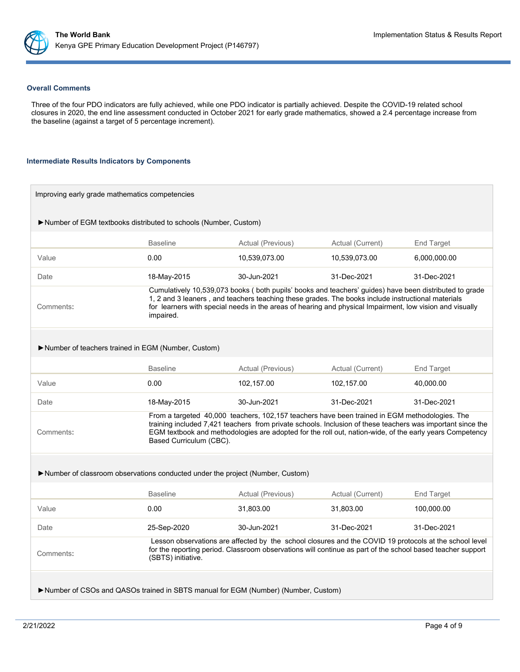

#### **Overall Comments**

Three of the four PDO indicators are fully achieved, while one PDO indicator is partially achieved. Despite the COVID-19 related school closures in 2020, the end line assessment conducted in October 2021 for early grade mathematics, showed a 2.4 percentage increase from the baseline (against a target of 5 percentage increment).

#### **Intermediate Results Indicators by Components**

|                                                                                                                                                                                                                                                                                                                                                                | Number of EGM textbooks distributed to schools (Number, Custom)               |                   |                  |                   |  |
|----------------------------------------------------------------------------------------------------------------------------------------------------------------------------------------------------------------------------------------------------------------------------------------------------------------------------------------------------------------|-------------------------------------------------------------------------------|-------------------|------------------|-------------------|--|
|                                                                                                                                                                                                                                                                                                                                                                | <b>Baseline</b>                                                               | Actual (Previous) | Actual (Current) | <b>End Target</b> |  |
| Value                                                                                                                                                                                                                                                                                                                                                          | 0.00                                                                          | 10,539,073.00     | 10,539,073.00    | 6,000,000.00      |  |
| Date                                                                                                                                                                                                                                                                                                                                                           | 18-May-2015                                                                   | 30-Jun-2021       | 31-Dec-2021      | 31-Dec-2021       |  |
| Cumulatively 10,539,073 books (both pupils' books and teachers' guides) have been distributed to grade<br>1, 2 and 3 leaners, and teachers teaching these grades. The books include instructional materials<br>for learners with special needs in the areas of hearing and physical Impairment, low vision and visually<br>Comments:<br>impaired.              |                                                                               |                   |                  |                   |  |
|                                                                                                                                                                                                                                                                                                                                                                | Number of teachers trained in EGM (Number, Custom)                            |                   |                  |                   |  |
|                                                                                                                                                                                                                                                                                                                                                                | <b>Baseline</b>                                                               | Actual (Previous) | Actual (Current) | End Target        |  |
| Value                                                                                                                                                                                                                                                                                                                                                          | 0.00                                                                          | 102,157.00        | 102,157.00       | 40,000.00         |  |
| Date                                                                                                                                                                                                                                                                                                                                                           | 18-May-2015                                                                   | 30-Jun-2021       | 31-Dec-2021      | 31-Dec-2021       |  |
| From a targeted 40,000 teachers, 102,157 teachers have been trained in EGM methodologies. The<br>training included 7,421 teachers from private schools. Inclusion of these teachers was important since the<br>EGM textbook and methodologies are adopted for the roll out, nation-wide, of the early years Competency<br>Comments:<br>Based Curriculum (CBC). |                                                                               |                   |                  |                   |  |
|                                                                                                                                                                                                                                                                                                                                                                | Number of classroom observations conducted under the project (Number, Custom) |                   |                  |                   |  |
|                                                                                                                                                                                                                                                                                                                                                                |                                                                               |                   |                  |                   |  |
|                                                                                                                                                                                                                                                                                                                                                                | <b>Baseline</b>                                                               | Actual (Previous) | Actual (Current) | End Target        |  |
| Value                                                                                                                                                                                                                                                                                                                                                          | 0.00                                                                          | 31,803.00         | 31,803.00        | 100,000.00        |  |
| Date                                                                                                                                                                                                                                                                                                                                                           | 25-Sep-2020                                                                   | 30-Jun-2021       | 31-Dec-2021      | 31-Dec-2021       |  |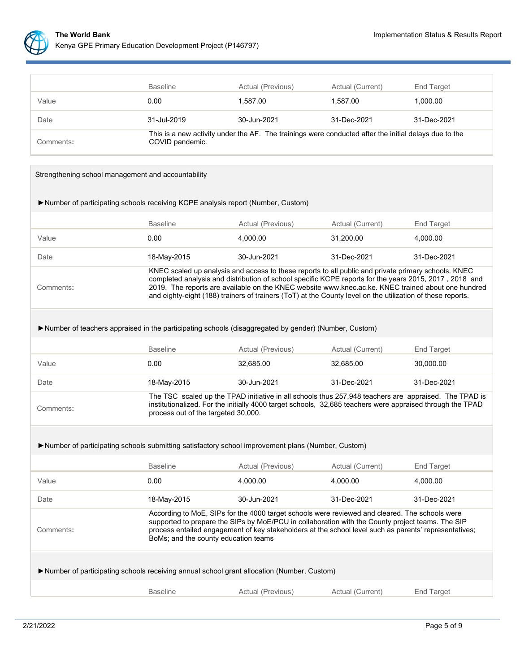

|           | <b>Baseline</b> | Actual (Previous)                                                                                     | Actual (Current) | End Target  |
|-----------|-----------------|-------------------------------------------------------------------------------------------------------|------------------|-------------|
| Value     | 0.00            | 1.587.00                                                                                              | 1.587.00         | 1.000.00    |
| Date      | 31-Jul-2019     | 30-Jun-2021                                                                                           | 31-Dec-2021      | 31-Dec-2021 |
| Comments: | COVID pandemic. | This is a new activity under the AF. The trainings were conducted after the initial delays due to the |                  |             |

| Strengthening school management and accountability                                                    |                                                                                                                                                                                                                                                                                                                                                                                                                                   |                                                                                                                                                                                                                    |                  |                   |  |
|-------------------------------------------------------------------------------------------------------|-----------------------------------------------------------------------------------------------------------------------------------------------------------------------------------------------------------------------------------------------------------------------------------------------------------------------------------------------------------------------------------------------------------------------------------|--------------------------------------------------------------------------------------------------------------------------------------------------------------------------------------------------------------------|------------------|-------------------|--|
| ► Number of participating schools receiving KCPE analysis report (Number, Custom)                     |                                                                                                                                                                                                                                                                                                                                                                                                                                   |                                                                                                                                                                                                                    |                  |                   |  |
|                                                                                                       | <b>Baseline</b>                                                                                                                                                                                                                                                                                                                                                                                                                   | Actual (Previous)                                                                                                                                                                                                  | Actual (Current) | End Target        |  |
| Value                                                                                                 | 0.00                                                                                                                                                                                                                                                                                                                                                                                                                              | 4,000.00                                                                                                                                                                                                           | 31,200.00        | 4,000.00          |  |
| Date                                                                                                  | 18-May-2015                                                                                                                                                                                                                                                                                                                                                                                                                       | 30-Jun-2021                                                                                                                                                                                                        | 31-Dec-2021      | 31-Dec-2021       |  |
| Comments:                                                                                             | KNEC scaled up analysis and access to these reports to all public and private primary schools. KNEC<br>completed analysis and distribution of school specific KCPE reports for the years 2015, 2017, 2018 and<br>2019. The reports are available on the KNEC website www.knec.ac.ke. KNEC trained about one hundred<br>and eighty-eight (188) trainers of trainers (ToT) at the County level on the utilization of these reports. |                                                                                                                                                                                                                    |                  |                   |  |
| ▶Number of teachers appraised in the participating schools (disaggregated by gender) (Number, Custom) |                                                                                                                                                                                                                                                                                                                                                                                                                                   |                                                                                                                                                                                                                    |                  |                   |  |
|                                                                                                       | <b>Baseline</b>                                                                                                                                                                                                                                                                                                                                                                                                                   | Actual (Previous)                                                                                                                                                                                                  | Actual (Current) | <b>End Target</b> |  |
| Value                                                                                                 | 0.00                                                                                                                                                                                                                                                                                                                                                                                                                              | 32,685.00                                                                                                                                                                                                          | 32,685.00        | 30,000.00         |  |
| Date                                                                                                  | 18-May-2015                                                                                                                                                                                                                                                                                                                                                                                                                       | 30-Jun-2021                                                                                                                                                                                                        | 31-Dec-2021      | 31-Dec-2021       |  |
| Comments:                                                                                             | process out of the targeted 30,000.                                                                                                                                                                                                                                                                                                                                                                                               | The TSC scaled up the TPAD initiative in all schools thus 257,948 teachers are appraised. The TPAD is<br>institutionalized. For the initially 4000 target schools, 32,685 teachers were appraised through the TPAD |                  |                   |  |
| ► Number of participating schools submitting satisfactory school improvement plans (Number, Custom)   |                                                                                                                                                                                                                                                                                                                                                                                                                                   |                                                                                                                                                                                                                    |                  |                   |  |
|                                                                                                       | <b>Baseline</b>                                                                                                                                                                                                                                                                                                                                                                                                                   | Actual (Previous)                                                                                                                                                                                                  | Actual (Current) | End Target        |  |
| Value                                                                                                 | 0.00                                                                                                                                                                                                                                                                                                                                                                                                                              | 4,000.00                                                                                                                                                                                                           | 4,000.00         | 4,000.00          |  |
| Date                                                                                                  | 18-May-2015                                                                                                                                                                                                                                                                                                                                                                                                                       | 30-Jun-2021                                                                                                                                                                                                        | 31-Dec-2021      | 31-Dec-2021       |  |
| Comments:                                                                                             | According to MoE, SIPs for the 4000 target schools were reviewed and cleared. The schools were<br>supported to prepare the SIPs by MoE/PCU in collaboration with the County project teams. The SIP<br>process entailed engagement of key stakeholders at the school level such as parents' representatives;<br>BoMs; and the county education teams                                                                               |                                                                                                                                                                                                                    |                  |                   |  |
| Number of participating schools receiving annual school grant allocation (Number, Custom)             |                                                                                                                                                                                                                                                                                                                                                                                                                                   |                                                                                                                                                                                                                    |                  |                   |  |
|                                                                                                       | <b>Baseline</b>                                                                                                                                                                                                                                                                                                                                                                                                                   | Actual (Previous)                                                                                                                                                                                                  | Actual (Current) | <b>End Target</b> |  |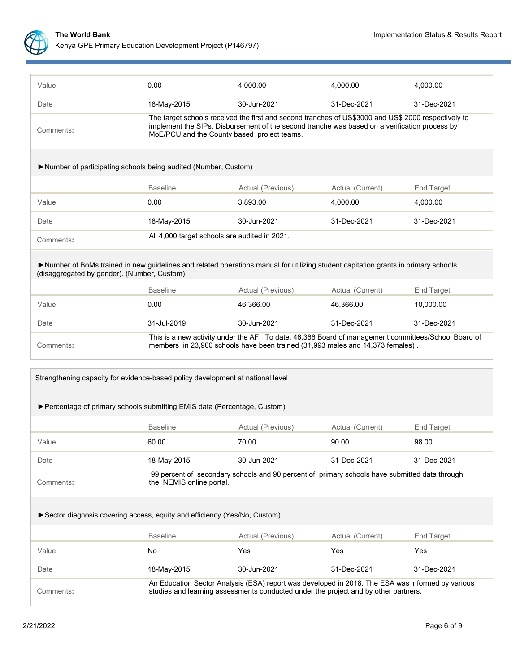

| Value                                                                                                                                                                            | 0.00                                                                                                                                                                                                                                                | 4,000.00                                                                                      | 4,000.00         | 4,000.00          |  |  |
|----------------------------------------------------------------------------------------------------------------------------------------------------------------------------------|-----------------------------------------------------------------------------------------------------------------------------------------------------------------------------------------------------------------------------------------------------|-----------------------------------------------------------------------------------------------|------------------|-------------------|--|--|
| Date                                                                                                                                                                             | 18-May-2015                                                                                                                                                                                                                                         | 30-Jun-2021                                                                                   | 31-Dec-2021      | 31-Dec-2021       |  |  |
| Comments:                                                                                                                                                                        | The target schools received the first and second tranches of US\$3000 and US\$ 2000 respectively to<br>implement the SIPs. Disbursement of the second tranche was based on a verification process by<br>MoE/PCU and the County based project teams. |                                                                                               |                  |                   |  |  |
| Number of participating schools being audited (Number, Custom)                                                                                                                   |                                                                                                                                                                                                                                                     |                                                                                               |                  |                   |  |  |
|                                                                                                                                                                                  | <b>Baseline</b>                                                                                                                                                                                                                                     | Actual (Previous)                                                                             | Actual (Current) | <b>End Target</b> |  |  |
| Value                                                                                                                                                                            | 0.00                                                                                                                                                                                                                                                | 3,893.00                                                                                      | 4,000.00         | 4,000.00          |  |  |
| Date                                                                                                                                                                             | 18-May-2015                                                                                                                                                                                                                                         | 30-Jun-2021                                                                                   | 31-Dec-2021      | 31-Dec-2021       |  |  |
| Comments:                                                                                                                                                                        | All 4,000 target schools are audited in 2021.                                                                                                                                                                                                       |                                                                                               |                  |                   |  |  |
| Number of BoMs trained in new guidelines and related operations manual for utilizing student capitation grants in primary schools<br>(disaggregated by gender). (Number, Custom) |                                                                                                                                                                                                                                                     |                                                                                               |                  |                   |  |  |
|                                                                                                                                                                                  | <b>Baseline</b>                                                                                                                                                                                                                                     | Actual (Previous)                                                                             | Actual (Current) | <b>End Target</b> |  |  |
| Value                                                                                                                                                                            | 0.00                                                                                                                                                                                                                                                | 46,366.00                                                                                     | 46,366.00        | 10,000.00         |  |  |
| Date                                                                                                                                                                             | 31-Jul-2019                                                                                                                                                                                                                                         | 30-Jun-2021                                                                                   | 31-Dec-2021      | 31-Dec-2021       |  |  |
| Comments:                                                                                                                                                                        | This is a new activity under the AF. To date, 46,366 Board of management committees/School Board of<br>members in 23,900 schools have been trained (31,993 males and 14,373 females).                                                               |                                                                                               |                  |                   |  |  |
| Strengthening capacity for evidence-based policy development at national level                                                                                                   |                                                                                                                                                                                                                                                     |                                                                                               |                  |                   |  |  |
| ▶ Percentage of primary schools submitting EMIS data (Percentage, Custom)                                                                                                        |                                                                                                                                                                                                                                                     |                                                                                               |                  |                   |  |  |
|                                                                                                                                                                                  | <b>Baseline</b>                                                                                                                                                                                                                                     | Actual (Previous)                                                                             | Actual (Current) | <b>End Target</b> |  |  |
| Value                                                                                                                                                                            | 60.00                                                                                                                                                                                                                                               | 70.00                                                                                         | 90.00            | 98.00             |  |  |
| Date                                                                                                                                                                             | 18-May-2015                                                                                                                                                                                                                                         | 30-Jun-2021                                                                                   | 31-Dec-2021      | 31-Dec-2021       |  |  |
| Comments:                                                                                                                                                                        | the NEMIS online portal.                                                                                                                                                                                                                            | 99 percent of secondary schools and 90 percent of primary schools have submitted data through |                  |                   |  |  |
| Sector diagnosis covering access, equity and efficiency (Yes/No, Custom)                                                                                                         |                                                                                                                                                                                                                                                     |                                                                                               |                  |                   |  |  |
|                                                                                                                                                                                  | <b>Baseline</b>                                                                                                                                                                                                                                     | Actual (Previous)                                                                             | Actual (Current) | End Target        |  |  |
| Value                                                                                                                                                                            | No                                                                                                                                                                                                                                                  | Yes                                                                                           | Yes              | Yes               |  |  |
| Date                                                                                                                                                                             | 18-May-2015                                                                                                                                                                                                                                         | 30-Jun-2021                                                                                   | 31-Dec-2021      | 31-Dec-2021       |  |  |
| Comments:                                                                                                                                                                        | An Education Sector Analysis (ESA) report was developed in 2018. The ESA was informed by various<br>studies and learning assessments conducted under the project and by other partners.                                                             |                                                                                               |                  |                   |  |  |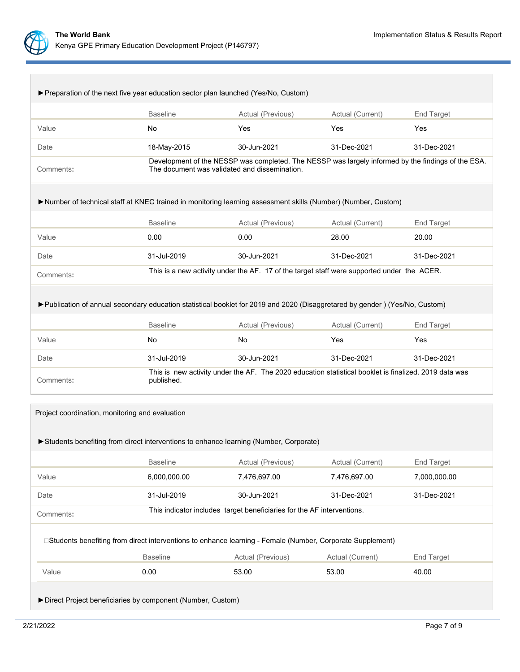

| ► Preparation of the next five year education sector plan launched (Yes/No, Custom)                                          |                                                                                                                                                     |                                                                                            |                  |             |
|------------------------------------------------------------------------------------------------------------------------------|-----------------------------------------------------------------------------------------------------------------------------------------------------|--------------------------------------------------------------------------------------------|------------------|-------------|
|                                                                                                                              | <b>Baseline</b>                                                                                                                                     | Actual (Previous)                                                                          | Actual (Current) | End Target  |
| Value                                                                                                                        | <b>No</b>                                                                                                                                           | Yes                                                                                        | Yes              | Yes         |
| Date                                                                                                                         | 18-May-2015                                                                                                                                         | 30-Jun-2021                                                                                | 31-Dec-2021      | 31-Dec-2021 |
| Comments:                                                                                                                    | Development of the NESSP was completed. The NESSP was largely informed by the findings of the ESA.<br>The document was validated and dissemination. |                                                                                            |                  |             |
| ▶Number of technical staff at KNEC trained in monitoring learning assessment skills (Number) (Number, Custom)                |                                                                                                                                                     |                                                                                            |                  |             |
|                                                                                                                              | <b>Baseline</b>                                                                                                                                     | Actual (Previous)                                                                          | Actual (Current) | End Target  |
| Value                                                                                                                        | 0.00                                                                                                                                                | 0.00                                                                                       | 28.00            | 20.00       |
| Date                                                                                                                         | 31-Jul-2019                                                                                                                                         | 30-Jun-2021                                                                                | 31-Dec-2021      | 31-Dec-2021 |
| Comments:                                                                                                                    |                                                                                                                                                     | This is a new activity under the AF. 17 of the target staff were supported under the ACER. |                  |             |
| ► Publication of annual secondary education statistical booklet for 2019 and 2020 (Disaggretared by gender) (Yes/No, Custom) |                                                                                                                                                     |                                                                                            |                  |             |
|                                                                                                                              | <b>Baseline</b>                                                                                                                                     | Actual (Previous)                                                                          | Actual (Current) | End Target  |
| Value                                                                                                                        | <b>No</b>                                                                                                                                           | <b>No</b>                                                                                  | Yes              | Yes         |
| Date                                                                                                                         | 31-Jul-2019                                                                                                                                         | 30-Jun-2021                                                                                | 31-Dec-2021      | 31-Dec-2021 |
| Comments:                                                                                                                    | This is new activity under the AF. The 2020 education statistical booklet is finalized. 2019 data was<br>published.                                 |                                                                                            |                  |             |
|                                                                                                                              |                                                                                                                                                     |                                                                                            |                  |             |

| Project coordination, monitoring and evaluation                                                                                                                                     |                   |                  |              |  |  |  |  |  |
|-------------------------------------------------------------------------------------------------------------------------------------------------------------------------------------|-------------------|------------------|--------------|--|--|--|--|--|
| Students benefiting from direct interventions to enhance learning (Number, Corporate)                                                                                               |                   |                  |              |  |  |  |  |  |
| <b>Baseline</b>                                                                                                                                                                     | Actual (Previous) | Actual (Current) | End Target   |  |  |  |  |  |
| 6,000,000.00                                                                                                                                                                        | 7,476,697.00      | 7,476,697.00     | 7,000,000.00 |  |  |  |  |  |
| 31-Jul-2019                                                                                                                                                                         | 30-Jun-2021       | 31-Dec-2021      | 31-Dec-2021  |  |  |  |  |  |
| This indicator includes target beneficiaries for the AF interventions.<br>Comments:                                                                                                 |                   |                  |              |  |  |  |  |  |
| Students benefiting from direct interventions to enhance learning - Female (Number, Corporate Supplement)<br><b>Baseline</b><br>Actual (Previous)<br>Actual (Current)<br>End Target |                   |                  |              |  |  |  |  |  |
| 0.00                                                                                                                                                                                | 53.00             | 53.00            | 40.00        |  |  |  |  |  |
|                                                                                                                                                                                     |                   |                  |              |  |  |  |  |  |

►Direct Project beneficiaries by component (Number, Custom)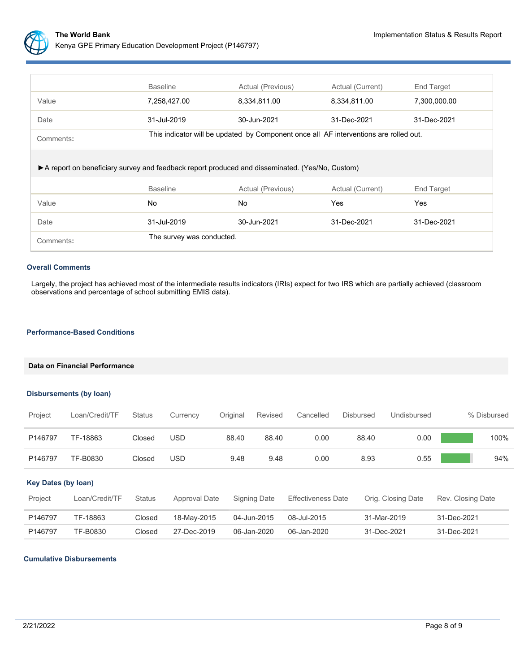

|                                                                                                | <b>Baseline</b>                                                                       | Actual (Previous) | Actual (Current) | End Target   |  |  |  |  |  |
|------------------------------------------------------------------------------------------------|---------------------------------------------------------------------------------------|-------------------|------------------|--------------|--|--|--|--|--|
| Value                                                                                          | 7,258,427.00                                                                          | 8,334,811.00      | 8,334,811.00     | 7,300,000.00 |  |  |  |  |  |
| Date                                                                                           | 31-Jul-2019                                                                           | 30-Jun-2021       | 31-Dec-2021      | 31-Dec-2021  |  |  |  |  |  |
| Comments:                                                                                      | This indicator will be updated by Component once all AF interventions are rolled out. |                   |                  |              |  |  |  |  |  |
| A report on beneficiary survey and feedback report produced and disseminated. (Yes/No, Custom) |                                                                                       |                   |                  |              |  |  |  |  |  |
|                                                                                                | <b>Baseline</b>                                                                       | Actual (Previous) | Actual (Current) | End Target   |  |  |  |  |  |
| Value                                                                                          | <b>No</b>                                                                             | No.               | Yes              | Yes          |  |  |  |  |  |
| Date                                                                                           | 31-Jul-2019                                                                           | 30-Jun-2021       | 31-Dec-2021      | 31-Dec-2021  |  |  |  |  |  |
| Comments:                                                                                      | The survey was conducted.                                                             |                   |                  |              |  |  |  |  |  |

### **Overall Comments**

Largely, the project has achieved most of the intermediate results indicators (IRIs) expect for two IRS which are partially achieved (classroom observations and percentage of school submitting EMIS data).

### **Performance-Based Conditions**

### **Data on Financial Performance**

## **Disbursements (by loan)**

| Project                    | Loan/Credit/TF | <b>Status</b> | Currency      | Original | Revised      | Cancelled                 | Disbursed   | Undisbursed        | % Disbursed       |
|----------------------------|----------------|---------------|---------------|----------|--------------|---------------------------|-------------|--------------------|-------------------|
| P146797                    | TF-18863       | Closed        | <b>USD</b>    | 88.40    | 88.40        | 0.00                      | 88.40       | 0.00               | 100%              |
| P146797                    | TF-B0830       | Closed        | USD           | 9.48     | 9.48         | 0.00                      | 8.93        | 0.55               | 94%               |
| <b>Key Dates (by loan)</b> |                |               |               |          |              |                           |             |                    |                   |
| Project                    | Loan/Credit/TF | <b>Status</b> | Approval Date |          | Signing Date | <b>Effectiveness Date</b> |             | Orig. Closing Date | Rev. Closing Date |
| P146797                    | TF-18863       | Closed        | 18-May-2015   |          | 04-Jun-2015  | 08-Jul-2015               |             | 31-Mar-2019        | 31-Dec-2021       |
| P146797                    | TF-B0830       | Closed        | 27-Dec-2019   |          | 06-Jan-2020  | 06-Jan-2020               | 31-Dec-2021 |                    | 31-Dec-2021       |

### **Cumulative Disbursements**